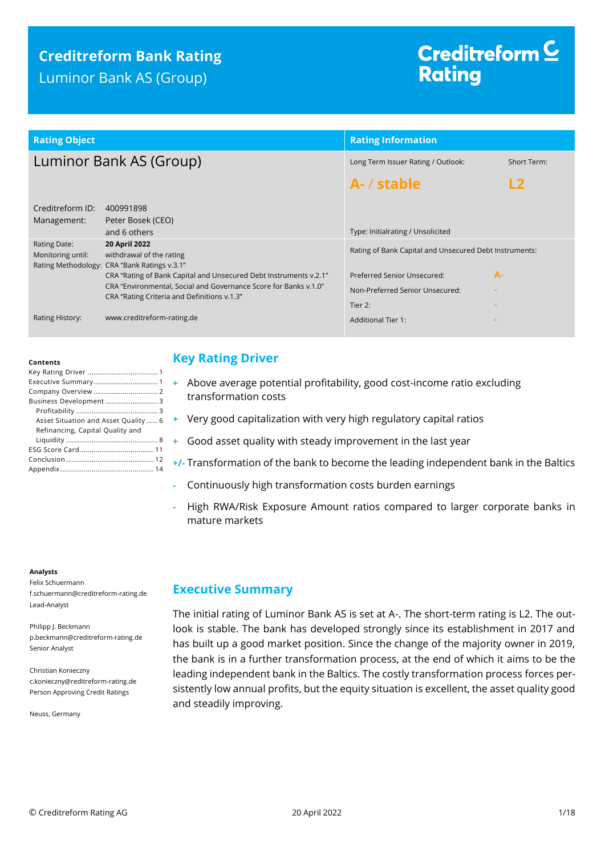# **Creditreform Bank Rating** Luminor Bank AS (Group)

# Creditreform  $\subseteq$ **Rating**

| <b>Rating Object</b>              |                                                                                           | <b>Rating Information</b>                              |             |  |
|-----------------------------------|-------------------------------------------------------------------------------------------|--------------------------------------------------------|-------------|--|
| Luminor Bank AS (Group)           |                                                                                           | Long Term Issuer Rating / Outlook:                     | Short Term: |  |
|                                   |                                                                                           | A- / stable                                            |             |  |
| Creditreform ID:<br>Management:   | 400991898<br>Peter Bosek (CEO)<br>and 6 others                                            | Type: Initialrating / Unsolicited                      |             |  |
| Rating Date:<br>Monitoring until: | 20 April 2022<br>withdrawal of the rating<br>Rating Methodology: CRA "Bank Ratings v.3.1" | Rating of Bank Capital and Unsecured Debt Instruments: |             |  |
|                                   | CRA "Rating of Bank Capital and Unsecured Debt Instruments v.2.1"                         | Preferred Senior Unsecured:                            | $A -$       |  |
|                                   | CRA "Environmental, Social and Governance Score for Banks v.1.0"                          | Non-Preferred Senior Unsecured:                        |             |  |
|                                   | CRA "Rating Criteria and Definitions v.1.3"                                               | Tier 2:                                                |             |  |
| Rating History:                   | www.creditreform-rating.de                                                                | <b>Additional Tier 1:</b>                              |             |  |

#### **Contents**

| Business Development 3               |
|--------------------------------------|
|                                      |
| Asset Situation and Asset Quality  6 |
| Refinancing, Capital Quality and     |
|                                      |
|                                      |
|                                      |
|                                      |

#### **Analysts**

Felix Schuermann f.schuermann@creditreform-rating.de Lead-Analyst

Philipp J. Beckmann p.beckmann@creditreform-rating.de Senior Analyst

Christian Konieczny c.konieczny@reditreform-rating.de Person Approving Credit Ratings

Neuss, Germany

## <span id="page-0-0"></span>**Key Rating Driver**

- **+** Above average potential profitability, good cost-income ratio excluding transformation costs
- **+** Very good capitalization with very high regulatory capital ratios
- **+** Good asset quality with steady improvement in the last year
- **+/-** Transformation of the bank to become the leading independent bank in the Baltics
- **-** Continuously high transformation costs burden earnings
- **-** High RWA/Risk Exposure Amount ratios compared to larger corporate banks in mature markets

### <span id="page-0-1"></span>**Executive Summary**

The initial rating of Luminor Bank AS is set at A-. The short-term rating is L2. The outlook is stable. The bank has developed strongly since its establishment in 2017 and has built up a good market position. Since the change of the majority owner in 2019, the bank is in a further transformation process, at the end of which it aims to be the leading independent bank in the Baltics. The costly transformation process forces persistently low annual profits, but the equity situation is excellent, the asset quality good and steadily improving.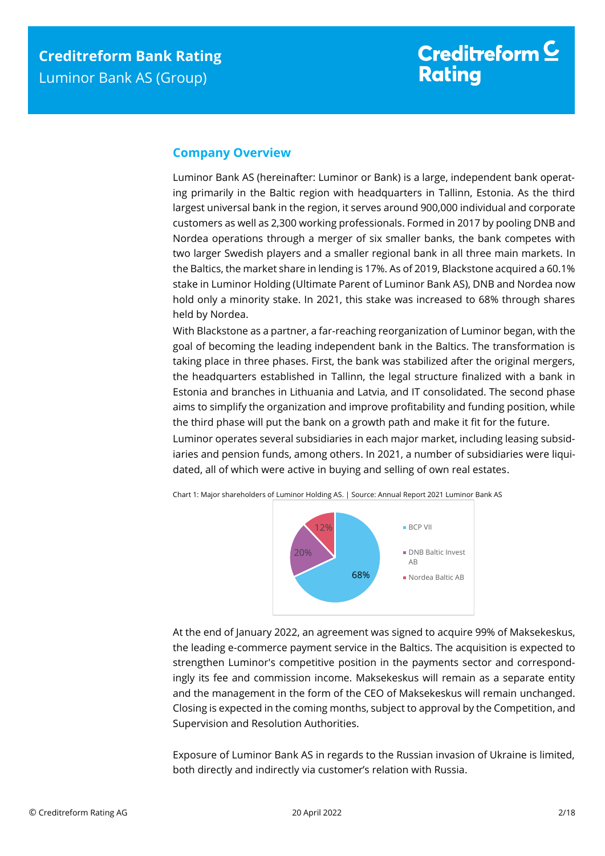# <span id="page-1-0"></span>**Company Overview**

Luminor Bank AS (hereinafter: Luminor or Bank) is a large, independent bank operating primarily in the Baltic region with headquarters in Tallinn, Estonia. As the third largest universal bank in the region, it serves around 900,000 individual and corporate customers as well as 2,300 working professionals. Formed in 2017 by pooling DNB and Nordea operations through a merger of six smaller banks, the bank competes with two larger Swedish players and a smaller regional bank in all three main markets. In the Baltics, the market share in lending is 17%. As of 2019, Blackstone acquired a 60.1% stake in Luminor Holding (Ultimate Parent of Luminor Bank AS), DNB and Nordea now hold only a minority stake. In 2021, this stake was increased to 68% through shares held by Nordea.

With Blackstone as a partner, a far-reaching reorganization of Luminor began, with the goal of becoming the leading independent bank in the Baltics. The transformation is taking place in three phases. First, the bank was stabilized after the original mergers, the headquarters established in Tallinn, the legal structure finalized with a bank in Estonia and branches in Lithuania and Latvia, and IT consolidated. The second phase aims to simplify the organization and improve profitability and funding position, while the third phase will put the bank on a growth path and make it fit for the future.

Luminor operates several subsidiaries in each major market, including leasing subsidiaries and pension funds, among others. In 2021, a number of subsidiaries were liquidated, all of which were active in buying and selling of own real estates.





At the end of January 2022, an agreement was signed to acquire 99% of Maksekeskus, the leading e-commerce payment service in the Baltics. The acquisition is expected to strengthen Luminor's competitive position in the payments sector and correspondingly its fee and commission income. Maksekeskus will remain as a separate entity and the management in the form of the CEO of Maksekeskus will remain unchanged. Closing is expected in the coming months, subject to approval by the Competition, and Supervision and Resolution Authorities.

Exposure of Luminor Bank AS in regards to the Russian invasion of Ukraine is limited, both directly and indirectly via customer's relation with Russia.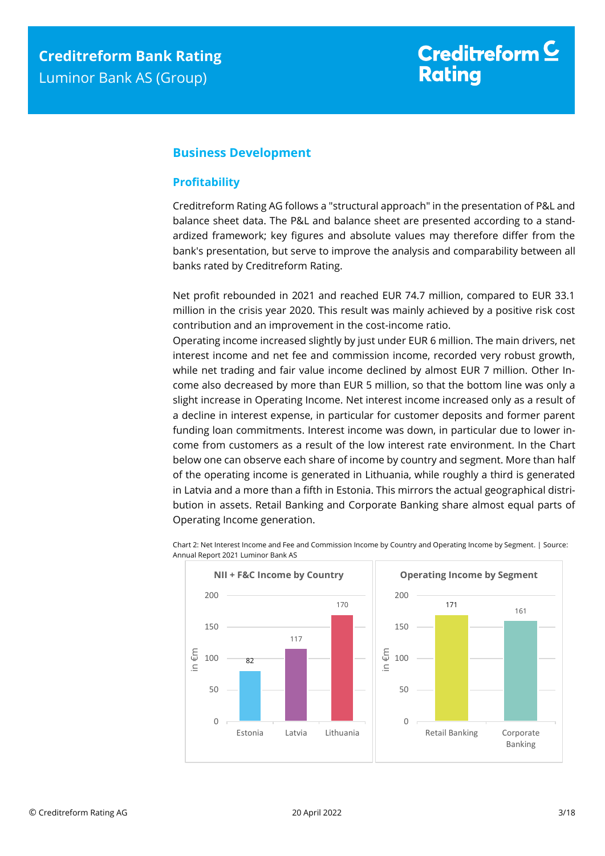## <span id="page-2-0"></span>**Business Development**

### <span id="page-2-1"></span>**Profitability**

Creditreform Rating AG follows a "structural approach" in the presentation of P&L and balance sheet data. The P&L and balance sheet are presented according to a standardized framework; key figures and absolute values may therefore differ from the bank's presentation, but serve to improve the analysis and comparability between all banks rated by Creditreform Rating.

Net profit rebounded in 2021 and reached EUR 74.7 million, compared to EUR 33.1 million in the crisis year 2020. This result was mainly achieved by a positive risk cost contribution and an improvement in the cost-income ratio.

Operating income increased slightly by just under EUR 6 million. The main drivers, net interest income and net fee and commission income, recorded very robust growth, while net trading and fair value income declined by almost EUR 7 million. Other Income also decreased by more than EUR 5 million, so that the bottom line was only a slight increase in Operating Income. Net interest income increased only as a result of a decline in interest expense, in particular for customer deposits and former parent funding loan commitments. Interest income was down, in particular due to lower income from customers as a result of the low interest rate environment. In the Chart below one can observe each share of income by country and segment. More than half of the operating income is generated in Lithuania, while roughly a third is generated in Latvia and a more than a fifth in Estonia. This mirrors the actual geographical distribution in assets. Retail Banking and Corporate Banking share almost equal parts of Operating Income generation.

Chart 2: Net Interest Income and Fee and Commission Income by Country and Operating Income by Segment. | Source: Annual Report 2021 Luminor Bank AS

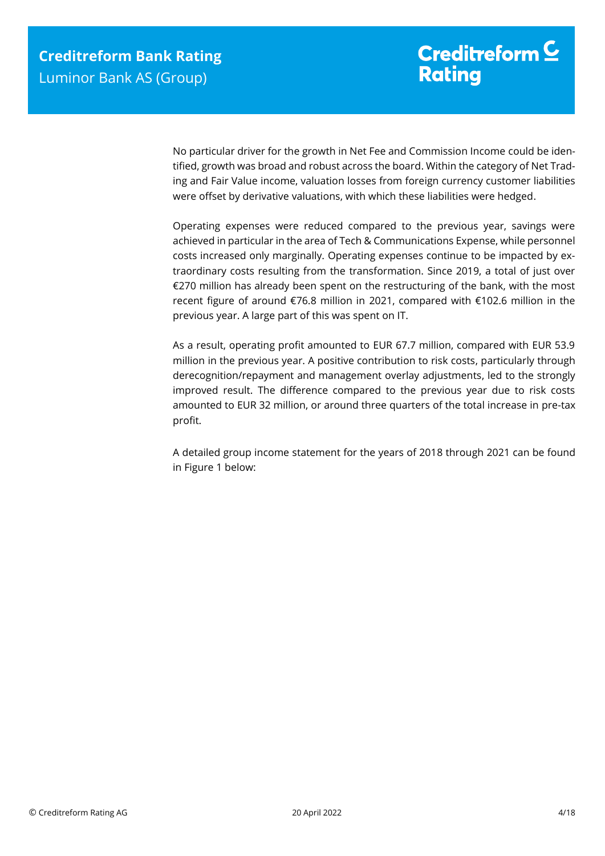No particular driver for the growth in Net Fee and Commission Income could be identified, growth was broad and robust across the board. Within the category of Net Trading and Fair Value income, valuation losses from foreign currency customer liabilities were offset by derivative valuations, with which these liabilities were hedged.

Operating expenses were reduced compared to the previous year, savings were achieved in particular in the area of Tech & Communications Expense, while personnel costs increased only marginally. Operating expenses continue to be impacted by extraordinary costs resulting from the transformation. Since 2019, a total of just over €270 million has already been spent on the restructuring of the bank, with the most recent figure of around €76.8 million in 2021, compared with €102.6 million in the previous year. A large part of this was spent on IT.

As a result, operating profit amounted to EUR 67.7 million, compared with EUR 53.9 million in the previous year. A positive contribution to risk costs, particularly through derecognition/repayment and management overlay adjustments, led to the strongly improved result. The difference compared to the previous year due to risk costs amounted to EUR 32 million, or around three quarters of the total increase in pre-tax profit.

A detailed group income statement for the years of 2018 through 2021 can be found in Figure 1 below: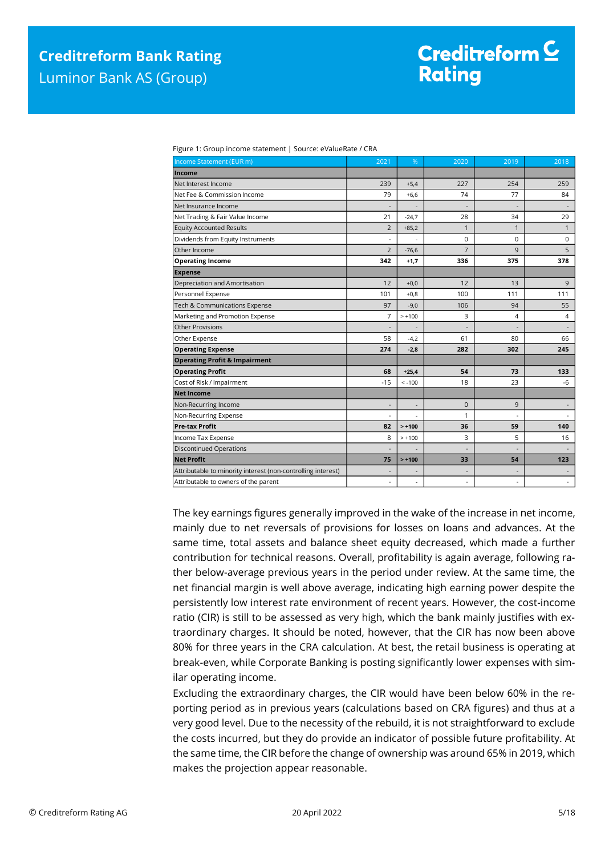| Income Statement (EUR m)                                     | 2021                     | %                            | 2020           | 2019                     | 2018                     |
|--------------------------------------------------------------|--------------------------|------------------------------|----------------|--------------------------|--------------------------|
| Income                                                       |                          |                              |                |                          |                          |
| Net Interest Income                                          | 239                      | $+5,4$                       | 227            | 254                      | 259                      |
| Net Fee & Commission Income                                  | 79                       | $+6,6$                       | 74             | 77                       | 84                       |
| Net Insurance Income                                         | $\overline{a}$           |                              |                |                          |                          |
| Net Trading & Fair Value Income                              | 21                       | $-24,7$                      | 28             | 34                       | 29                       |
| <b>Equity Accounted Results</b>                              | $\overline{2}$           | $+85,2$                      | $\mathbf{1}$   | $\mathbf{1}$             | $\mathbf{1}$             |
| Dividends from Equity Instruments                            | $\overline{a}$           | ÷,                           | 0              | $\Omega$                 | 0                        |
| Other Income                                                 | $\overline{2}$           | $-76,6$                      | $\overline{7}$ | 9                        | 5                        |
| <b>Operating Income</b>                                      | 342                      | $+1,7$                       | 336            | 375                      | 378                      |
| <b>Expense</b>                                               |                          |                              |                |                          |                          |
| Depreciation and Amortisation                                | 12                       | $+0,0$                       | 12             | 13                       | 9                        |
| Personnel Expense                                            | 101                      | $+0,8$                       | 100            | 111                      | 111                      |
| Tech & Communications Expense                                | 97                       | $-9,0$                       | 106            | 94                       | 55                       |
| Marketing and Promotion Expense                              | 7                        | $> +100$                     | 3              | 4                        | 4                        |
| Other Provisions                                             |                          |                              |                |                          |                          |
| Other Expense                                                | 58                       | $-4,2$                       | 61             | 80                       | 66                       |
| <b>Operating Expense</b>                                     | 274                      | $-2,8$                       | 282            | 302                      | 245                      |
| <b>Operating Profit &amp; Impairment</b>                     |                          |                              |                |                          |                          |
| <b>Operating Profit</b>                                      | 68                       | $+25,4$                      | 54             | 73                       | 133                      |
| Cost of Risk / Impairment                                    | $-15$                    | $< -100$                     | 18             | 23                       | $-6$                     |
| <b>Net Income</b>                                            |                          |                              |                |                          |                          |
| Non-Recurring Income                                         | $\overline{\phantom{a}}$ | $\qquad \qquad \blacksquare$ | $\mathbf{0}$   | 9                        | $\overline{\phantom{a}}$ |
| Non-Recurring Expense                                        |                          |                              | 1              | ÷.                       |                          |
| <b>Pre-tax Profit</b>                                        | 82                       | $> +100$                     | 36             | 59                       | 140                      |
| Income Tax Expense                                           | 8                        | $> +100$                     | 3              | 5                        | 16                       |
| <b>Discontinued Operations</b>                               | $\overline{\phantom{a}}$ |                              | ٠              | $\overline{a}$           |                          |
| <b>Net Profit</b>                                            | 75                       | $> +100$                     | 33             | 54                       | 123                      |
| Attributable to minority interest (non-controlling interest) | $\overline{\phantom{a}}$ |                              |                | $\overline{\phantom{a}}$ | $\overline{\phantom{a}}$ |
| Attributable to owners of the parent                         | $\overline{\phantom{a}}$ | ٠                            | ٠              | ٠                        | $\overline{\phantom{a}}$ |

Figure 1: Group income statement | Source: eValueRate / CRA

The key earnings figures generally improved in the wake of the increase in net income, mainly due to net reversals of provisions for losses on loans and advances. At the same time, total assets and balance sheet equity decreased, which made a further contribution for technical reasons. Overall, profitability is again average, following rather below-average previous years in the period under review. At the same time, the net financial margin is well above average, indicating high earning power despite the persistently low interest rate environment of recent years. However, the cost-income ratio (CIR) is still to be assessed as very high, which the bank mainly justifies with extraordinary charges. It should be noted, however, that the CIR has now been above 80% for three years in the CRA calculation. At best, the retail business is operating at break-even, while Corporate Banking is posting significantly lower expenses with similar operating income.

Excluding the extraordinary charges, the CIR would have been below 60% in the reporting period as in previous years (calculations based on CRA figures) and thus at a very good level. Due to the necessity of the rebuild, it is not straightforward to exclude the costs incurred, but they do provide an indicator of possible future profitability. At the same time, the CIR before the change of ownership was around 65% in 2019, which makes the projection appear reasonable.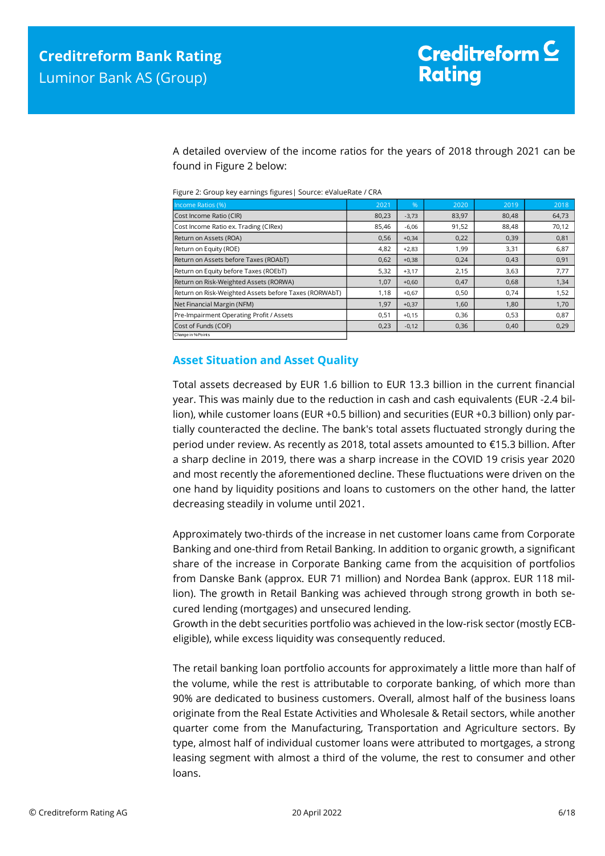A detailed overview of the income ratios for the years of 2018 through 2021 can be found in Figure 2 below:

|  |  |  | Figure 2: Group key earnings figures   Source: eValueRate / CRA |  |
|--|--|--|-----------------------------------------------------------------|--|
|--|--|--|-----------------------------------------------------------------|--|

| Income Ratios (%)                                     | 2021  | .96     | 2020  | 2019  | 2018  |
|-------------------------------------------------------|-------|---------|-------|-------|-------|
| Cost Income Ratio (CIR)                               | 80,23 | $-3,73$ | 83,97 | 80,48 | 64,73 |
| Cost Income Ratio ex. Trading (CIRex)                 | 85,46 | $-6,06$ | 91,52 | 88,48 | 70,12 |
| Return on Assets (ROA)                                | 0,56  | $+0,34$ | 0,22  | 0,39  | 0,81  |
| Return on Equity (ROE)                                | 4,82  | $+2,83$ | 1,99  | 3,31  | 6,87  |
| Return on Assets before Taxes (ROAbT)                 | 0,62  | $+0,38$ | 0,24  | 0,43  | 0,91  |
| Return on Equity before Taxes (ROEbT)                 | 5,32  | $+3,17$ | 2,15  | 3,63  | 7,77  |
| Return on Risk-Weighted Assets (RORWA)                | 1,07  | $+0,60$ | 0,47  | 0,68  | 1,34  |
| Return on Risk-Weighted Assets before Taxes (RORWAbT) | 1,18  | $+0,67$ | 0,50  | 0,74  | 1,52  |
| Net Financial Margin (NFM)                            | 1,97  | $+0,37$ | 1,60  | 1,80  | 1,70  |
| Pre-Impairment Operating Profit / Assets              | 0,51  | $+0,15$ | 0,36  | 0,53  | 0,87  |
| Cost of Funds (COF)                                   | 0,23  | $-0,12$ | 0,36  | 0,40  | 0,29  |
| Change in % Points                                    |       |         |       |       |       |

### <span id="page-5-0"></span>**Asset Situation and Asset Quality**

Total assets decreased by EUR 1.6 billion to EUR 13.3 billion in the current financial year. This was mainly due to the reduction in cash and cash equivalents (EUR -2.4 billion), while customer loans (EUR +0.5 billion) and securities (EUR +0.3 billion) only partially counteracted the decline. The bank's total assets fluctuated strongly during the period under review. As recently as 2018, total assets amounted to €15.3 billion. After a sharp decline in 2019, there was a sharp increase in the COVID 19 crisis year 2020 and most recently the aforementioned decline. These fluctuations were driven on the one hand by liquidity positions and loans to customers on the other hand, the latter decreasing steadily in volume until 2021.

Approximately two-thirds of the increase in net customer loans came from Corporate Banking and one-third from Retail Banking. In addition to organic growth, a significant share of the increase in Corporate Banking came from the acquisition of portfolios from Danske Bank (approx. EUR 71 million) and Nordea Bank (approx. EUR 118 million). The growth in Retail Banking was achieved through strong growth in both secured lending (mortgages) and unsecured lending.

Growth in the debt securities portfolio was achieved in the low-risk sector (mostly ECBeligible), while excess liquidity was consequently reduced.

The retail banking loan portfolio accounts for approximately a little more than half of the volume, while the rest is attributable to corporate banking, of which more than 90% are dedicated to business customers. Overall, almost half of the business loans originate from the Real Estate Activities and Wholesale & Retail sectors, while another quarter come from the Manufacturing, Transportation and Agriculture sectors. By type, almost half of individual customer loans were attributed to mortgages, a strong leasing segment with almost a third of the volume, the rest to consumer and other loans.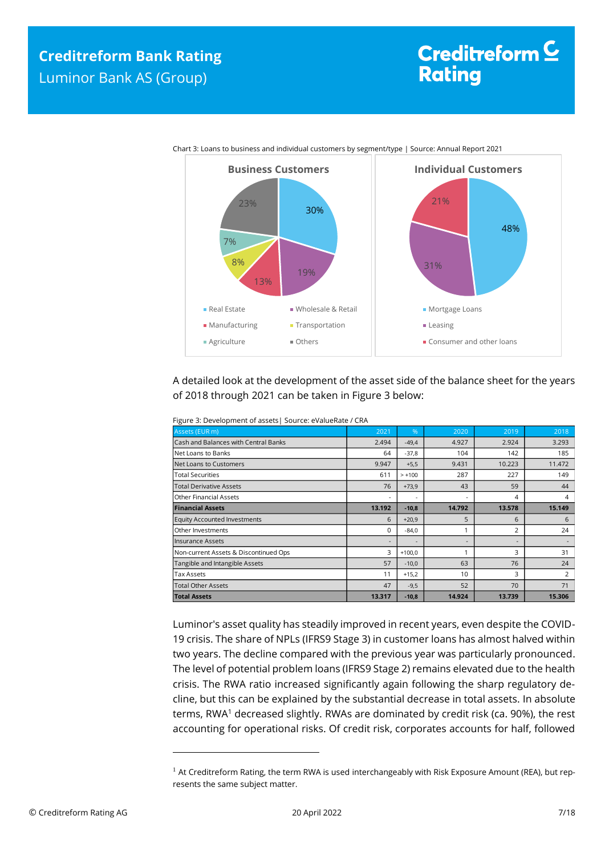# Creditreform  $\subseteq$ **Rating**



Chart 3: Loans to business and individual customers by segment/type | Source: Annual Report 2021

A detailed look at the development of the asset side of the balance sheet for the years of 2018 through 2021 can be taken in Figure 3 below:

| <b>Total Assets</b>                                        | 13.317                   | $-10,8$                  | 14.924 | 13.739 | 15.306         |
|------------------------------------------------------------|--------------------------|--------------------------|--------|--------|----------------|
| <b>Total Other Assets</b>                                  | 47                       | $-9,5$                   | 52     | 70     | 71             |
| Tax Assets                                                 | 11                       | $+15,2$                  | 10     | 3      | $\overline{2}$ |
| Tangible and Intangible Assets                             | 57                       | $-10,0$                  | 63     | 76     | 24             |
| Non-current Assets & Discontinued Ops                      | 3                        | $+100,0$                 | ٩      | 3      | 31             |
| Insurance Assets                                           | $\overline{\phantom{a}}$ | $\overline{\phantom{a}}$ |        | ٠.     |                |
| Other Investments                                          | 0                        | $-84,0$                  |        | 2      | 24             |
| <b>Equity Accounted Investments</b>                        | 6                        | $+20,9$                  | 5      | 6      | 6              |
| <b>Financial Assets</b>                                    | 13.192                   | $-10,8$                  | 14.792 | 13.578 | 15.149         |
| Other Financial Assets                                     | $\overline{\phantom{a}}$ | ٠                        |        | 4      | 4              |
| <b>Total Derivative Assets</b>                             | 76                       | $+73,9$                  | 43     | 59     | 44             |
| <b>Total Securities</b>                                    | 611                      | $> +100$                 | 287    | 227    | 149            |
| Net Loans to Customers                                     | 9.947                    | $+5,5$                   | 9.431  | 10.223 | 11.472         |
| Net Loans to Banks                                         | 64                       | $-37,8$                  | 104    | 142    | 185            |
| Cash and Balances with Central Banks                       | 2.494                    | $-49,4$                  | 4.927  | 2.924  | 3.293          |
| Assets (EUR m)                                             | 2021                     | %                        | 2020   | 2019   | 2018           |
| Figure 3: Development of assets   Source: evalueRate / CRA |                          |                          |        |        |                |

Figure 3: Development of assets| Source: eValueRate / CRA

Luminor's asset quality has steadily improved in recent years, even despite the COVID-19 crisis. The share of NPLs (IFRS9 Stage 3) in customer loans has almost halved within two years. The decline compared with the previous year was particularly pronounced. The level of potential problem loans (IFRS9 Stage 2) remains elevated due to the health crisis. The RWA ratio increased significantly again following the sharp regulatory decline, but this can be explained by the substantial decrease in total assets. In absolute terms, RWA<sup>1</sup> decreased slightly. RWAs are dominated by credit risk (ca. 90%), the rest accounting for operational risks. Of credit risk, corporates accounts for half, followed

 $\overline{\phantom{a}}$ 

<sup>&</sup>lt;sup>1</sup> At Creditreform Rating, the term RWA is used interchangeably with Risk Exposure Amount (REA), but represents the same subject matter.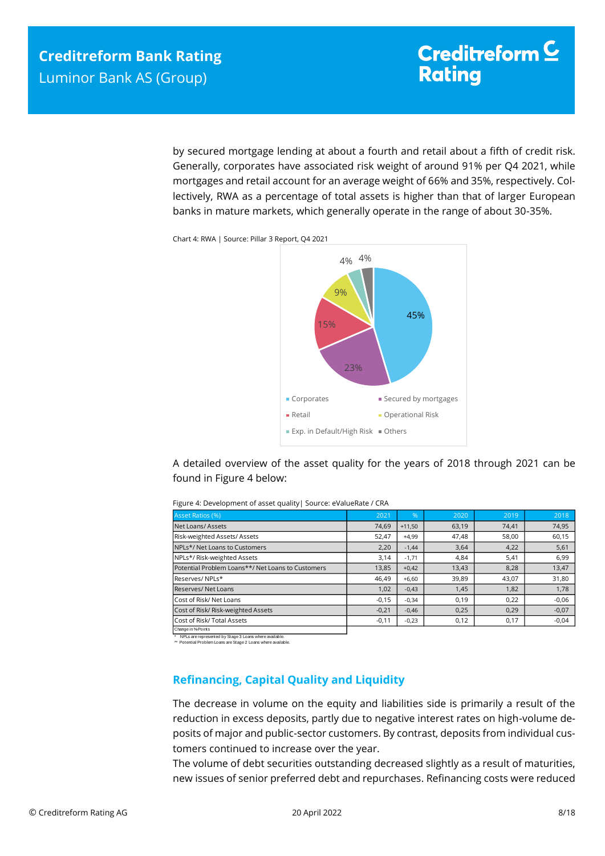by secured mortgage lending at about a fourth and retail about a fifth of credit risk. Generally, corporates have associated risk weight of around 91% per Q4 2021, while mortgages and retail account for an average weight of 66% and 35%, respectively. Collectively, RWA as a percentage of total assets is higher than that of larger European banks in mature markets, which generally operate in the range of about 30-35%.





A detailed overview of the asset quality for the years of 2018 through 2021 can be found in Figure 4 below:

| Asset Ratios (%)                                  | 2021    | $\%$     | 2020  | 2019  | 2018    |
|---------------------------------------------------|---------|----------|-------|-------|---------|
| Net Loans/Assets                                  | 74,69   | $+11.50$ | 63,19 | 74,41 | 74,95   |
| Risk-weighted Assets/Assets                       | 52,47   | $+4,99$  | 47,48 | 58,00 | 60,15   |
| NPLs*/ Net Loans to Customers                     | 2,20    | $-1,44$  | 3,64  | 4,22  | 5,61    |
| NPLs*/ Risk-weighted Assets                       | 3,14    | $-1,71$  | 4,84  | 5,41  | 6,99    |
| Potential Problem Loans**/ Net Loans to Customers | 13,85   | $+0,42$  | 13,43 | 8,28  | 13,47   |
| Reserves/NPLs*                                    | 46.49   | $+6,60$  | 39,89 | 43.07 | 31,80   |
| Reserves/Net Loans                                | 1,02    | $-0,43$  | 1,45  | 1,82  | 1,78    |
| Cost of Risk/ Net Loans                           | $-0,15$ | $-0,34$  | 0,19  | 0,22  | $-0,06$ |
| Cost of Risk/ Risk-weighted Assets                | $-0,21$ | $-0,46$  | 0,25  | 0,29  | $-0,07$ |
| Cost of Risk/ Total Assets                        | $-0,11$ | $-0,23$  | 0,12  | 0,17  | $-0,04$ |
| Change in % Points                                |         |          |       |       |         |

Figure 4: Development of asset quality| Source: eValueRate / CRA

\* NPLs are represented by Stage 3 Loans where available. \*\* Potential Problem Loans are Stage 2 Loans where available.

### <span id="page-7-0"></span>**Refinancing, Capital Quality and Liquidity**

The decrease in volume on the equity and liabilities side is primarily a result of the reduction in excess deposits, partly due to negative interest rates on high-volume deposits of major and public-sector customers. By contrast, deposits from individual customers continued to increase over the year.

The volume of debt securities outstanding decreased slightly as a result of maturities, new issues of senior preferred debt and repurchases. Refinancing costs were reduced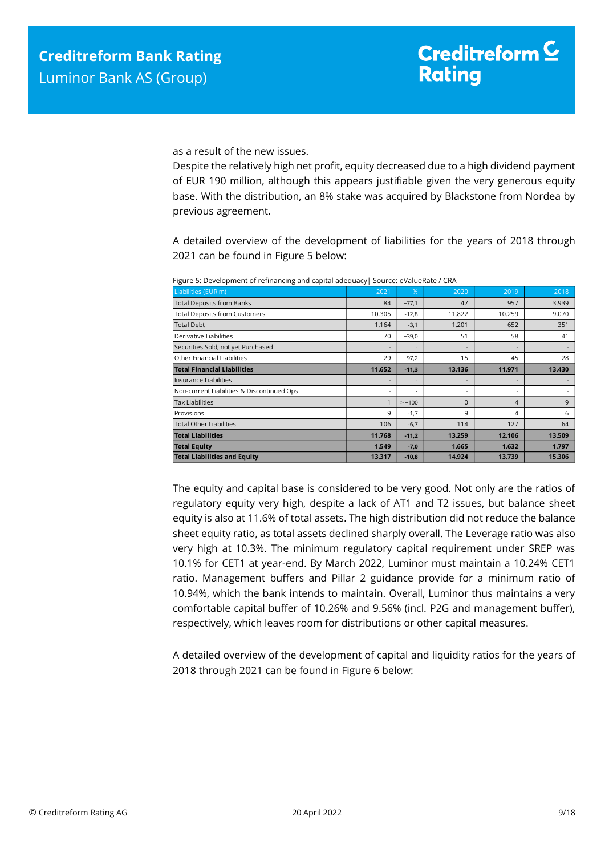as a result of the new issues.

Despite the relatively high net profit, equity decreased due to a high dividend payment of EUR 190 million, although this appears justifiable given the very generous equity base. With the distribution, an 8% stake was acquired by Blackstone from Nordea by previous agreement.

A detailed overview of the development of liabilities for the years of 2018 through 2021 can be found in Figure 5 below:

| . .    |          |          |                          |        |
|--------|----------|----------|--------------------------|--------|
| 2021   | %        | 2020     | 2019                     | 2018   |
| 84     | $+77,1$  | 47       | 957                      | 3.939  |
| 10.305 | $-12,8$  | 11.822   | 10.259                   | 9.070  |
| 1.164  | $-3,1$   | 1.201    | 652                      | 351    |
| 70     | $+39,0$  | 51       | 58                       | 41     |
|        |          |          | $\overline{\phantom{a}}$ |        |
| 29     | $+97,2$  | 15       | 45                       | 28     |
| 11.652 | $-11,3$  | 13.136   | 11.971                   | 13.430 |
|        |          |          | $\overline{\phantom{a}}$ |        |
| ٠      |          |          | $\overline{\phantom{a}}$ |        |
| 1      | $> +100$ | $\Omega$ | 4                        | 9      |
| 9      | $-1,7$   | 9        | 4                        | 6      |
| 106    | $-6,7$   | 114      | 127                      | 64     |
| 11.768 | $-11,2$  | 13.259   | 12.106                   | 13.509 |
| 1.549  | $-7,0$   | 1.665    | 1.632                    | 1.797  |
| 13.317 | $-10,8$  | 14.924   | 13.739                   | 15.306 |
|        |          |          |                          |        |

Figure 5: Development of refinancing and capital adequacy| Source: eValueRate / CRA

The equity and capital base is considered to be very good. Not only are the ratios of regulatory equity very high, despite a lack of AT1 and T2 issues, but balance sheet equity is also at 11.6% of total assets. The high distribution did not reduce the balance sheet equity ratio, as total assets declined sharply overall. The Leverage ratio was also very high at 10.3%. The minimum regulatory capital requirement under SREP was 10.1% for CET1 at year-end. By March 2022, Luminor must maintain a 10.24% CET1 ratio. Management buffers and Pillar 2 guidance provide for a minimum ratio of 10.94%, which the bank intends to maintain. Overall, Luminor thus maintains a very comfortable capital buffer of 10.26% and 9.56% (incl. P2G and management buffer), respectively, which leaves room for distributions or other capital measures.

A detailed overview of the development of capital and liquidity ratios for the years of 2018 through 2021 can be found in Figure 6 below: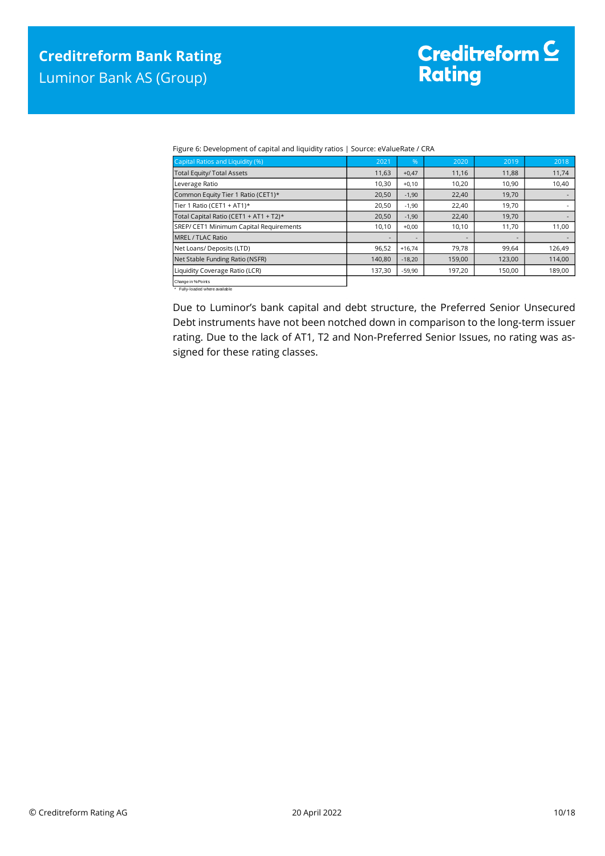Figure 6: Development of capital and liquidity ratios | Source: eValueRate / CRA

| Capital Ratios and Liquidity (%)        | 2021   | %                        | 2020   | 2019   | 2018   |
|-----------------------------------------|--------|--------------------------|--------|--------|--------|
| <b>Total Equity/ Total Assets</b>       | 11,63  | $+0,47$                  | 11,16  | 11,88  | 11,74  |
| Leverage Ratio                          | 10,30  | $+0,10$                  | 10,20  | 10,90  | 10,40  |
| Common Equity Tier 1 Ratio (CET1)*      | 20,50  | $-1,90$                  | 22,40  | 19,70  |        |
| Tier 1 Ratio (CET1 + AT1)*              | 20,50  | $-1,90$                  | 22,40  | 19,70  |        |
| Total Capital Ratio (CET1 + AT1 + T2)*  | 20,50  | $-1,90$                  | 22,40  | 19,70  |        |
| SREP/ CET1 Minimum Capital Requirements | 10,10  | $+0,00$                  | 10,10  | 11,70  | 11,00  |
| MREL / TLAC Ratio                       |        | $\overline{\phantom{a}}$ | -      |        |        |
| Net Loans/ Deposits (LTD)               | 96,52  | $+16,74$                 | 79,78  | 99,64  | 126,49 |
| Net Stable Funding Ratio (NSFR)         | 140,80 | $-18,20$                 | 159,00 | 123,00 | 114,00 |
| Liquidity Coverage Ratio (LCR)          | 137,30 | $-59,90$                 | 197,20 | 150,00 | 189,00 |
| Change in % Points                      |        |                          |        |        |        |

Change in %-Points \* Fully-loaded where available

Due to Luminor's bank capital and debt structure, the Preferred Senior Unsecured Debt instruments have not been notched down in comparison to the long-term issuer rating. Due to the lack of AT1, T2 and Non-Preferred Senior Issues, no rating was assigned for these rating classes.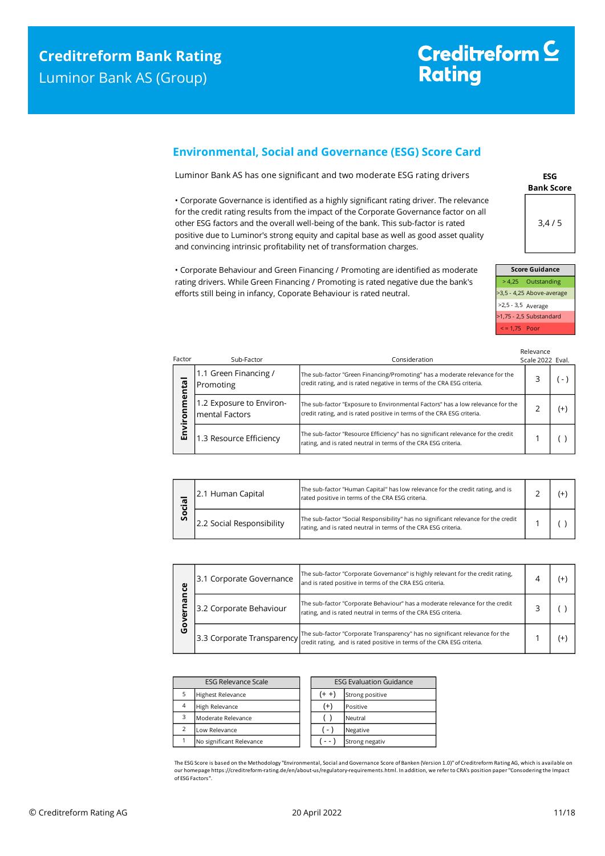# Creditreform<sup>C</sup> **Rating**

# <span id="page-10-0"></span>**Environmental, Social and Governance (ESG) Score Card**

Luminor Bank AS has one significant and two moderate ESG rating drivers

• Corporate Governance is identified as a highly significant rating driver. The relevance for the credit rating results from the impact of the Corporate Governance factor on all other ESG factors and the overall well-being of the bank. This sub-factor is rated positive due to Luminor's strong equity and capital base as well as good asset quality and convincing intrinsic profitability net of transformation charges.

• Corporate Behaviour and Green Financing / Promoting are identified as moderate rating drivers. While Green Financing / Promoting is rated negative due the bank's efforts still being in infancy, Coporate Behaviour is rated neutral.

**ESG Bank Score** 3,4 / 5

|                    | <b>Score Guidance</b>     |
|--------------------|---------------------------|
|                    | > 4,25 Outstanding        |
|                    | >3,5 - 4,25 Above-average |
| >2,5 - 3,5 Average |                           |
|                    | >1,75 - 2,5 Substandard   |
| $\le$ = 1,75 Poor  |                           |

| Factor       | Sub-Factor                                 | Consideration                                                                                                                                            | Relevance<br>Scale 2022 Eval. |          |
|--------------|--------------------------------------------|----------------------------------------------------------------------------------------------------------------------------------------------------------|-------------------------------|----------|
|              | 1.1 Green Financing /<br>Promoting         | The sub-factor "Green Financing/Promoting" has a moderate relevance for the<br>credit rating, and is rated negative in terms of the CRA ESG criteria.    |                               |          |
| nmental<br>ō | 1.2 Exposure to Environ-<br>mental Factors | The sub-factor "Exposure to Environmental Factors" has a low relevance for the<br>credit rating, and is rated positive in terms of the CRA ESG criteria. |                               | $^{(+)}$ |
| Envil        | 1.3 Resource Efficiency                    | The sub-factor "Resource Efficiency" has no significant relevance for the credit<br>rating, and is rated neutral in terms of the CRA ESG criteria.       |                               |          |

| æ  | 2.1 Human Capital         | The sub-factor "Human Capital" has low relevance for the credit rating, and is<br>rated positive in terms of the CRA ESG criteria.                   |  |  |
|----|---------------------------|------------------------------------------------------------------------------------------------------------------------------------------------------|--|--|
| တိ | 2.2 Social Responsibility | The sub-factor "Social Responsibility" has no significant relevance for the credit<br>rating, and is rated neutral in terms of the CRA ESG criteria. |  |  |

| ပ္ပ          | 3.1 Corporate Governance | The sub-factor "Corporate Governance" is highly relevant for the credit rating,<br>and is rated positive in terms of the CRA ESG criteria.                                                          |  |    |
|--------------|--------------------------|-----------------------------------------------------------------------------------------------------------------------------------------------------------------------------------------------------|--|----|
| ᠭᡦ<br>o<br>ט | 3.2 Corporate Behaviour  | The sub-factor "Corporate Behaviour" has a moderate relevance for the credit<br>rating, and is rated neutral in terms of the CRA ESG criteria.                                                      |  |    |
|              |                          | 3.3 Corporate Transparency The sub-factor "Corporate Transparency" has no significant relevance for the 3.3 Corporate Transparency retaing, and is rated positive in terms of the CRA ESG criteria. |  | Ι+ |

| <b>ESG Relevance Scale</b> |                          | <b>ESG Evaluation Guidance</b> |                 |
|----------------------------|--------------------------|--------------------------------|-----------------|
| 5                          | <b>Highest Relevance</b> | (+ +                           | Strong positive |
| $\overline{4}$             | High Relevance           | $^{(+)}$                       | Positive        |
| 3                          | Moderate Relevance       |                                | Neutral         |
| $\mathcal{P}$              | Low Relevance            | $-1$                           | Negative        |
|                            | No significant Relevance |                                | Strong negativ  |

The ESG Score is based on the Methodology "Environmental, Social and Governance Score of Banken (Version 1.0)" of Creditreform Rating AG, which is available on our homepage https://creditreform-rating.de/en/about-us/regulatory-requirements.html. In addition, we refer to CRA's position paper "Consodering the Impact of ESG Factors".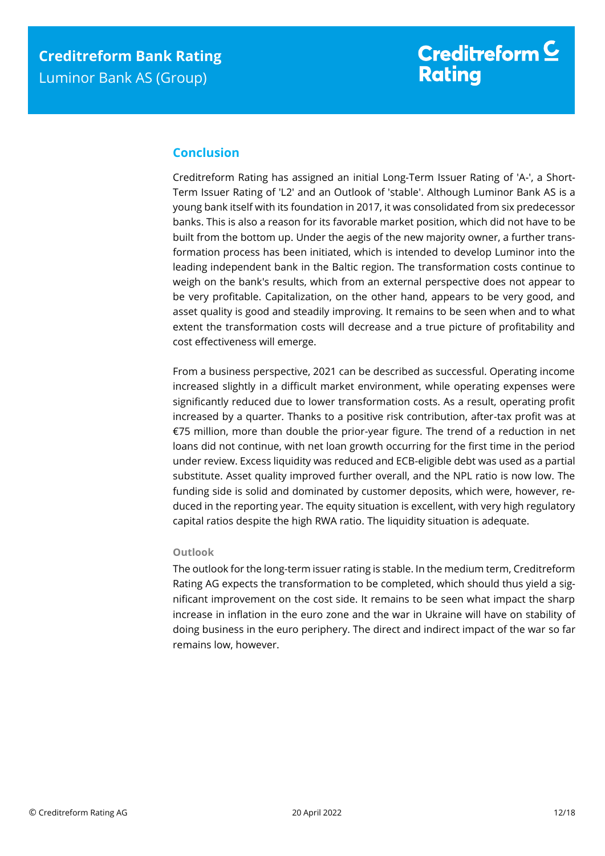# <span id="page-11-0"></span>**Conclusion**

Creditreform Rating has assigned an initial Long-Term Issuer Rating of 'A-', a Short-Term Issuer Rating of 'L2' and an Outlook of 'stable'. Although Luminor Bank AS is a young bank itself with its foundation in 2017, it was consolidated from six predecessor banks. This is also a reason for its favorable market position, which did not have to be built from the bottom up. Under the aegis of the new majority owner, a further transformation process has been initiated, which is intended to develop Luminor into the leading independent bank in the Baltic region. The transformation costs continue to weigh on the bank's results, which from an external perspective does not appear to be very profitable. Capitalization, on the other hand, appears to be very good, and asset quality is good and steadily improving. It remains to be seen when and to what extent the transformation costs will decrease and a true picture of profitability and cost effectiveness will emerge.

From a business perspective, 2021 can be described as successful. Operating income increased slightly in a difficult market environment, while operating expenses were significantly reduced due to lower transformation costs. As a result, operating profit increased by a quarter. Thanks to a positive risk contribution, after-tax profit was at €75 million, more than double the prior-year figure. The trend of a reduction in net loans did not continue, with net loan growth occurring for the first time in the period under review. Excess liquidity was reduced and ECB-eligible debt was used as a partial substitute. Asset quality improved further overall, and the NPL ratio is now low. The funding side is solid and dominated by customer deposits, which were, however, reduced in the reporting year. The equity situation is excellent, with very high regulatory capital ratios despite the high RWA ratio. The liquidity situation is adequate.

#### **Outlook**

The outlook for the long-term issuer rating is stable. In the medium term, Creditreform Rating AG expects the transformation to be completed, which should thus yield a significant improvement on the cost side. It remains to be seen what impact the sharp increase in inflation in the euro zone and the war in Ukraine will have on stability of doing business in the euro periphery. The direct and indirect impact of the war so far remains low, however.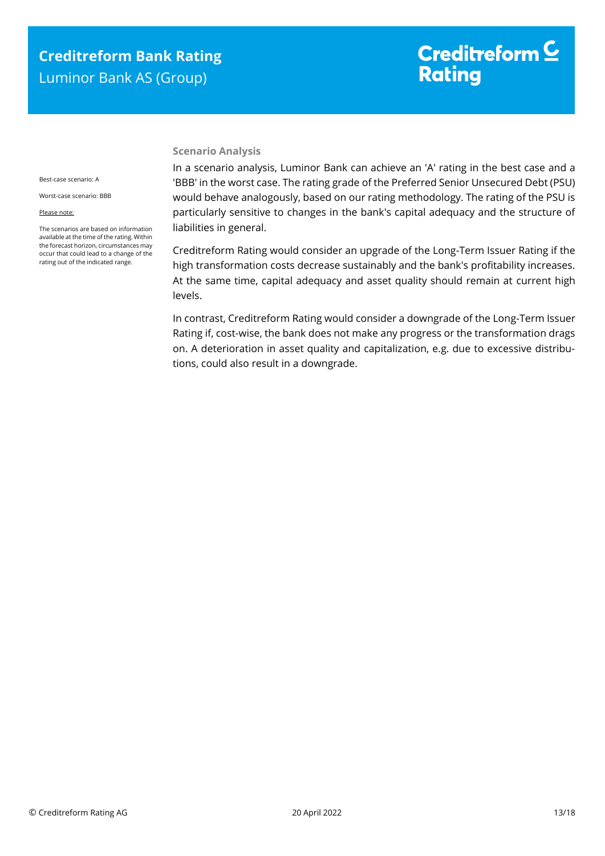# Creditreform<sup>C</sup> **Rating**

#### **Scenario Analysis**

Best-case scenario: A

Worst-case scenario: BBB

#### Please note:

The scenarios are based on information available at the time of the rating. Within the forecast horizon, circumstances may occur that could lead to a change of the rating out of the indicated range.

In a scenario analysis, Luminor Bank can achieve an 'A' rating in the best case and a 'BBB' in the worst case. The rating grade of the Preferred Senior Unsecured Debt (PSU) would behave analogously, based on our rating methodology. The rating of the PSU is particularly sensitive to changes in the bank's capital adequacy and the structure of liabilities in general.

Creditreform Rating would consider an upgrade of the Long-Term Issuer Rating if the high transformation costs decrease sustainably and the bank's profitability increases. At the same time, capital adequacy and asset quality should remain at current high levels.

In contrast, Creditreform Rating would consider a downgrade of the Long-Term Issuer Rating if, cost-wise, the bank does not make any progress or the transformation drags on. A deterioration in asset quality and capitalization, e.g. due to excessive distributions, could also result in a downgrade.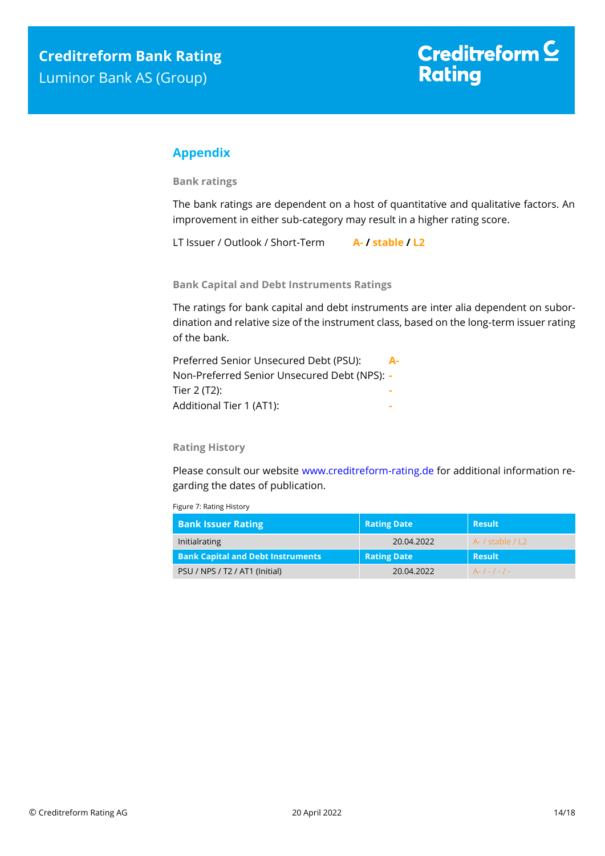# <span id="page-13-0"></span>**Appendix**

**Bank ratings**

The bank ratings are dependent on a host of quantitative and qualitative factors. An improvement in either sub-category may result in a higher rating score.

LT Issuer / Outlook / Short-Term **A- / stable / L2**

**Bank Capital and Debt Instruments Ratings**

The ratings for bank capital and debt instruments are inter alia dependent on subordination and relative size of the instrument class, based on the long-term issuer rating of the bank.

Preferred Senior Unsecured Debt (PSU): **A-**Non-Preferred Senior Unsecured Debt (NPS): **-** Tier 2 (T2): **-** Additional Tier 1 (AT1): **-**

#### **Rating History**

Please consult our website [www.creditreform-rating.de](http://www.creditreform-rating.de/) for additional information regarding the dates of publication.

Figure 7: Rating History

| <b>Bank Issuer Rating</b>                | <b>Rating Date</b> | Result                |
|------------------------------------------|--------------------|-----------------------|
| Initialrating                            | 20.04.2022         | $A - /$ stable $/ L2$ |
| <b>Bank Capital and Debt Instruments</b> | <b>Rating Date</b> | <b>Result</b>         |
| PSU / NPS / T2 / AT1 (Initial)           | 20.04.2022         | $A-1-1-1-$            |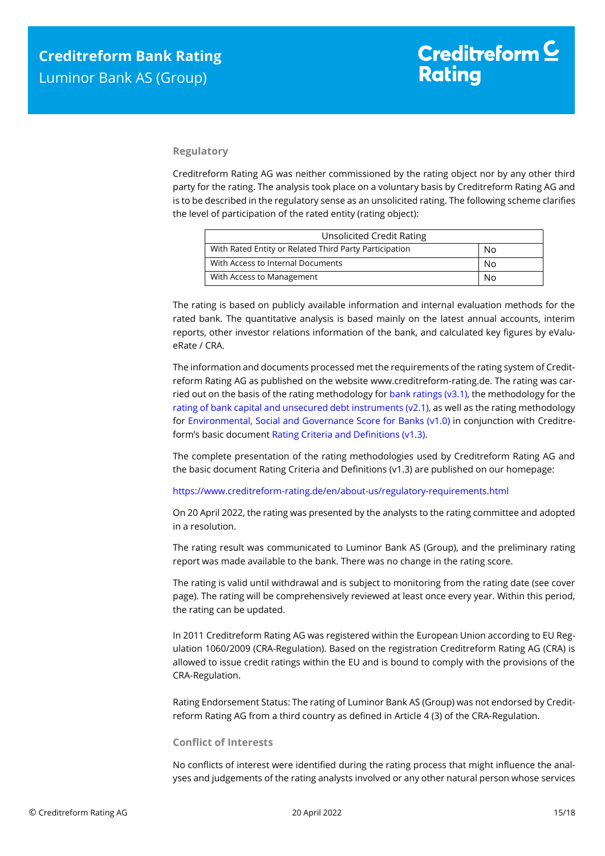#### **Regulatory**

Creditreform Rating AG was neither commissioned by the rating object nor by any other third party for the rating. The analysis took place on a voluntary basis by Creditreform Rating AG and is to be described in the regulatory sense as an unsolicited rating. The following scheme clarifies the level of participation of the rated entity (rating object):

| <b>Unsolicited Credit Rating</b>                       |    |
|--------------------------------------------------------|----|
| With Rated Entity or Related Third Party Participation | No |
| With Access to Internal Documents                      | No |
| With Access to Management                              | No |

The rating is based on publicly available information and internal evaluation methods for the rated bank. The quantitative analysis is based mainly on the latest annual accounts, interim reports, other investor relations information of the bank, and calculated key figures by eValueRate / CRA.

The information and documents processed met the requirements of the rating system of Creditreform Rating AG as published on the website www.creditreform-rating.de. The rating was carried out on the basis of the rating methodology fo[r bank ratings \(v3.1\),](https://www.creditreform-rating.de/en/about-us/regulatory-requirements.html?file=files/content/downloads/Externes%20Rating/Regulatorische%20Anforderungen/EN/Ratingmethodiken%20EN/CRAG%20Rating%20Methodology%20Bank%20Ratings%20v3.1%20EN.pdf) the methodology for the [rating of bank capital and unsecured debt instruments \(v2.1\),](https://www.creditreform-rating.de/en/about-us/regulatory-requirements.html?file=files/content/downloads/Externes%20Rating/Regulatorische%20Anforderungen/EN/Ratingmethodiken%20EN/CRAG%20Rating%20Methodology%20Unsecured%20Debt%20Instruments%20v2.1%20EN.pdf) as well as the rating methodology for Environmental, Social and [Governance Score for Banks \(v1.0\)](https://www.creditreform-rating.de/en/about-us/regulatory-requirements.html?file=files/content/downloads/Externes%20Rating/Regulatorische%20Anforderungen/EN/Ratingmethodiken%20EN/Rating%20Methodology%20ESG%20v1.0.pdf) in conjunction with Creditreform's basic documen[t Rating Criteria and Definitions \(v1.3\).](https://www.creditreform-rating.de/en/about-us/regulatory-requirements.html?file=files/content/downloads/Externes%20Rating/Regulatorische%20Anforderungen/EN/Ratingmethodiken%20EN/CRAG%20Rating%20Criteria%20and%20Definitions.pdf)

The complete presentation of the rating methodologies used by Creditreform Rating AG and the basic document Rating Criteria and Definitions (v1.3) are published on our homepage:

<https://www.creditreform-rating.de/en/about-us/regulatory-requirements.html>

On 20 April 2022, the rating was presented by the analysts to the rating committee and adopted in a resolution.

The rating result was communicated to Luminor Bank AS (Group), and the preliminary rating report was made available to the bank. There was no change in the rating score.

The rating is valid until withdrawal and is subject to monitoring from the rating date (see cover page). The rating will be comprehensively reviewed at least once every year. Within this period, the rating can be updated.

In 2011 Creditreform Rating AG was registered within the European Union according to EU Regulation 1060/2009 (CRA-Regulation). Based on the registration Creditreform Rating AG (CRA) is allowed to issue credit ratings within the EU and is bound to comply with the provisions of the CRA-Regulation.

Rating Endorsement Status: The rating of Luminor Bank AS (Group) was not endorsed by Creditreform Rating AG from a third country as defined in Article 4 (3) of the CRA-Regulation.

#### **Conflict of Interests**

No conflicts of interest were identified during the rating process that might influence the analyses and judgements of the rating analysts involved or any other natural person whose services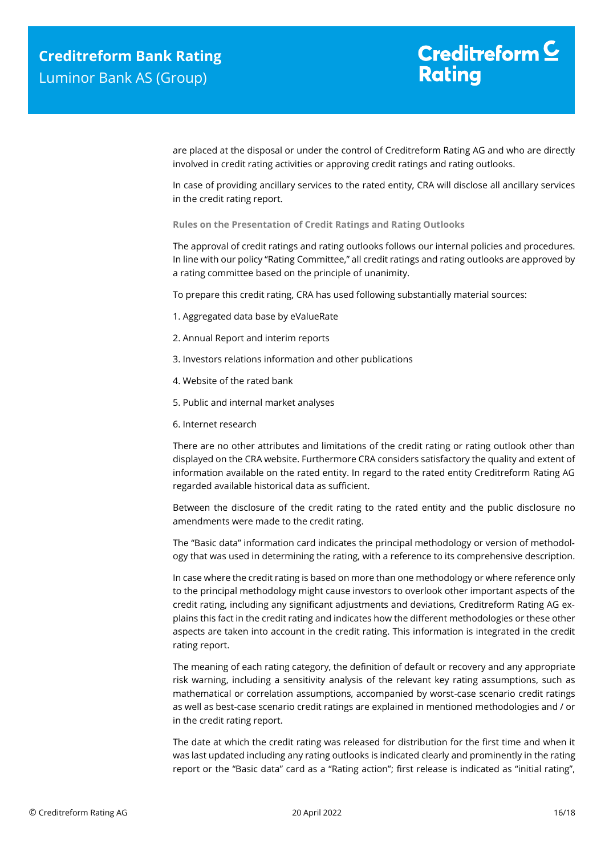are placed at the disposal or under the control of Creditreform Rating AG and who are directly involved in credit rating activities or approving credit ratings and rating outlooks.

In case of providing ancillary services to the rated entity, CRA will disclose all ancillary services in the credit rating report.

**Rules on the Presentation of Credit Ratings and Rating Outlooks**

The approval of credit ratings and rating outlooks follows our internal policies and procedures. In line with our policy "Rating Committee," all credit ratings and rating outlooks are approved by a rating committee based on the principle of unanimity.

To prepare this credit rating, CRA has used following substantially material sources:

- 1. Aggregated data base by eValueRate
- 2. Annual Report and interim reports
- 3. Investors relations information and other publications
- 4. Website of the rated bank
- 5. Public and internal market analyses
- 6. Internet research

There are no other attributes and limitations of the credit rating or rating outlook other than displayed on the CRA website. Furthermore CRA considers satisfactory the quality and extent of information available on the rated entity. In regard to the rated entity Creditreform Rating AG regarded available historical data as sufficient.

Between the disclosure of the credit rating to the rated entity and the public disclosure no amendments were made to the credit rating.

The "Basic data" information card indicates the principal methodology or version of methodology that was used in determining the rating, with a reference to its comprehensive description.

In case where the credit rating is based on more than one methodology or where reference only to the principal methodology might cause investors to overlook other important aspects of the credit rating, including any significant adjustments and deviations, Creditreform Rating AG explains this fact in the credit rating and indicates how the different methodologies or these other aspects are taken into account in the credit rating. This information is integrated in the credit rating report.

The meaning of each rating category, the definition of default or recovery and any appropriate risk warning, including a sensitivity analysis of the relevant key rating assumptions, such as mathematical or correlation assumptions, accompanied by worst-case scenario credit ratings as well as best-case scenario credit ratings are explained in mentioned methodologies and / or in the credit rating report.

The date at which the credit rating was released for distribution for the first time and when it was last updated including any rating outlooks is indicated clearly and prominently in the rating report or the "Basic data" card as a "Rating action"; first release is indicated as "initial rating",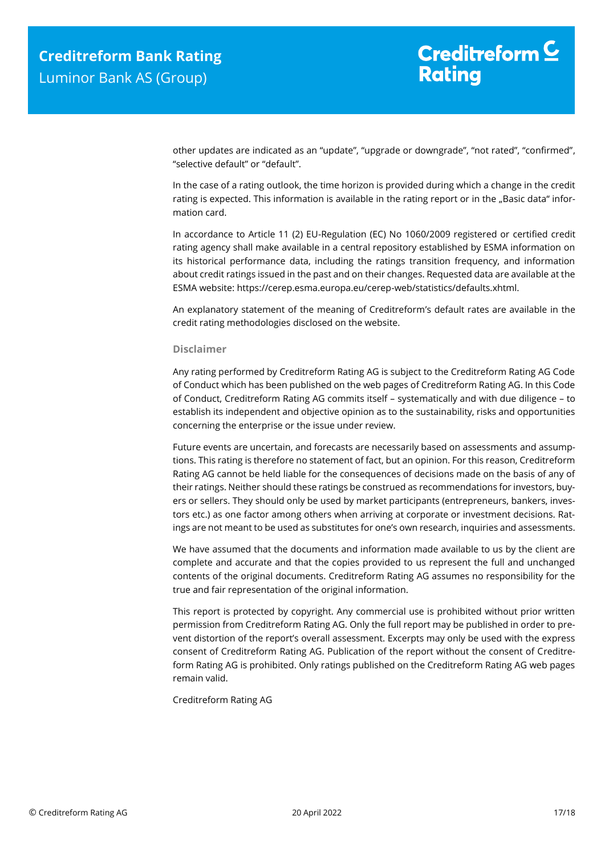other updates are indicated as an "update", "upgrade or downgrade", "not rated", "confirmed", "selective default" or "default".

In the case of a rating outlook, the time horizon is provided during which a change in the credit rating is expected. This information is available in the rating report or in the "Basic data" information card.

In accordance to Article 11 (2) EU-Regulation (EC) No 1060/2009 registered or certified credit rating agency shall make available in a central repository established by ESMA information on its historical performance data, including the ratings transition frequency, and information about credit ratings issued in the past and on their changes. Requested data are available at the ESMA website: https://cerep.esma.europa.eu/cerep-web/statistics/defaults.xhtml.

An explanatory statement of the meaning of Creditreform's default rates are available in the credit rating methodologies disclosed on the website.

#### **Disclaimer**

Any rating performed by Creditreform Rating AG is subject to the Creditreform Rating AG Code of Conduct which has been published on the web pages of Creditreform Rating AG. In this Code of Conduct, Creditreform Rating AG commits itself – systematically and with due diligence – to establish its independent and objective opinion as to the sustainability, risks and opportunities concerning the enterprise or the issue under review.

Future events are uncertain, and forecasts are necessarily based on assessments and assumptions. This rating is therefore no statement of fact, but an opinion. For this reason, Creditreform Rating AG cannot be held liable for the consequences of decisions made on the basis of any of their ratings. Neither should these ratings be construed as recommendations for investors, buyers or sellers. They should only be used by market participants (entrepreneurs, bankers, investors etc.) as one factor among others when arriving at corporate or investment decisions. Ratings are not meant to be used as substitutes for one's own research, inquiries and assessments.

We have assumed that the documents and information made available to us by the client are complete and accurate and that the copies provided to us represent the full and unchanged contents of the original documents. Creditreform Rating AG assumes no responsibility for the true and fair representation of the original information.

This report is protected by copyright. Any commercial use is prohibited without prior written permission from Creditreform Rating AG. Only the full report may be published in order to prevent distortion of the report's overall assessment. Excerpts may only be used with the express consent of Creditreform Rating AG. Publication of the report without the consent of Creditreform Rating AG is prohibited. Only ratings published on the Creditreform Rating AG web pages remain valid.

Creditreform Rating AG